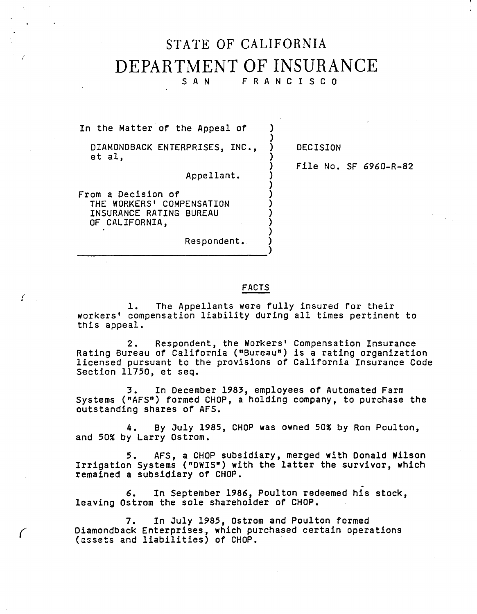## STATE OF CALIFORNIA DEPARTMENT OF INSURANCE

SAN FRANCISCO

)

)

)

In the Matter of the Appeal of

DIAMONDBACK ENTERPRISES, INC., ) DECISION  $\begin{bmatrix} 1 & 0 & 0 \\ 0 & 1 & 0 \\ 0 & 0 & 0 \\ 0 & 0 & 0 \\ 0 & 0 & 0 \\ 0 & 0 & 0 \\ 0 & 0 & 0 \\ 0 & 0 & 0 \\ 0 & 0 & 0 \\ 0 & 0 & 0 \\ 0 & 0 & 0 \\ 0 & 0 & 0 \\ 0 & 0 & 0 \\ 0 & 0 & 0 & 0 \\ 0 & 0 & 0 & 0 \\ 0 & 0 & 0 & 0 \\ 0 & 0 & 0 & 0 & 0 \\ 0 & 0 & 0 & 0 & 0 \\ 0 & 0 & 0 & 0 & 0 \\ 0 & 0 & 0 & 0 & 0 &$ 

Appellant. )

) File No. SF 6960-R-82

From a Decision of ) THE WORKERS' COMPENSATION INSURANCE RATING BUREAU ) OF CALIFORNIA,

*(* •

*(* 

Respondent. ) -----------------)

## FACTS

1. The Appellants were fully insured for their workers' compensation liability during all times pertinent to this appeal.

2. Respondent, the Workers' Compensation Insurance Rating Bureau of California ("Bureau") **is a** rating organization licensed pursuant to the provisions of California Insurance Code licensed pursuant to the provisions of California Insurance Code<br>Section 11750, et seq.

3. In December 1983, employees of Automated Farm Systems ("AFS") formed CHOP, a holding company, to purchase the outstanding shares of AFS.

4. By July 1985, CHOP was owned 50% by Ron Poulton, and 50% by Larry Ostrom.

5. AFS, a CHOP subsidiary, merged with Donald Wilson Irrigation Systems ("DWIS") **with** the latter the survivor, which remained a subsidiary of CHOP.

6. In September 1986, Poulton redeemed his stock, leaving Ostrom the sole shareholder of CHOP.

7. In July 1985, Ostrom and Poulton formed Diamondback Enterprises, which purchased certain operations (assets and liabilities) of CHOP.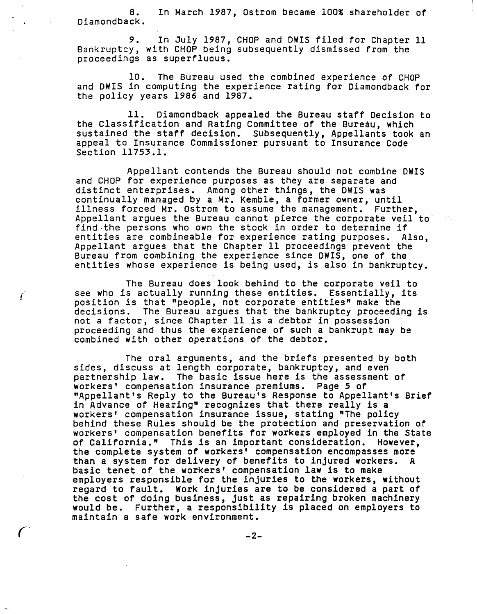8. In March 1987, Ostrom became 100% shareholder of Diamondback.

9. In July 1987, CHOP and DWIS filed for Chapter 11 Bankruptcy, with CHOP being subsequently dismissed from the proceedings as superfluous.

10. The Bureau used the combined experience of CHOP and DWIS in computing the experience rating for Diamondback for the policy years 1986 and 1987.

11. Diamondback appealed the Bureau staff Decision to the Classification and Rating Committee of the Bureau, which sustained the staff decision. Subsequently, Appellants took an appeal to Insurance Commissioner pursuant to Insurance Code Section 11753.l.

Appellant contends the Bureau should not combine **DWIS**  and CHOP for experience purposes as they are separate and distinct enterprises. Among other things, the DWIS was continually managed by a Mr. Kemble, a former owner, until illness forced Mr. Ostrom to assume the management. Further, Appellant argues the Bureau cannot pierce the corporate veil to find-the persons who own the stock in order to determine if entities are combineable for experience rating purposes. Also, Appellant argues that the Chapter 11 proceedings prevent the Bureau from combining the experience since DWIS, one of the entities whose experience is being used, is also in bankruptcy.

The Bureau does look behind to the corporate veil to see who is actually running these entities. Essentially, its position is that "people, not corporate entities" make the<br>decisions. The Bureau argues that the bankruptcy proceedin decisions. The Bureau argues that the bankruptcy proceeding is not a factor, since Chapter 11 is a debtor in possession proceeding and thus the experience of such a bankrupt may be combined with other operations of the debtor.

*r·* 

The oral arguments, and the briefs presented by both sides, discuss at length corporate, bankruptcy, and even partnership **law.** The basic issue here is the assessment of workers' compensation insurance premiums. Page 5 of "Appellant's Reply to the Bureau's Response to Appellant's Brief in Advance of Hearing" recognizes that there really is a<br>workers' compensation insurance issue, stating "The policy behind these Rules should be the protection and preservation of workers' compensation benefits for workers employed in the State of California." This is an important consideration. However, the complete system of workers• compensation encompasses more than a system for delivery of benefits to injured workers. A basic tenet of the workers• compensation law is to make employers responsible for the injuries to the workers, without regard to fault. Work injuries are to be considered a part of the cost of doing business, just as repairing broken machinery would be. Further, a responsibility is placed on employers to maintain a safe work environment.

 $-2-$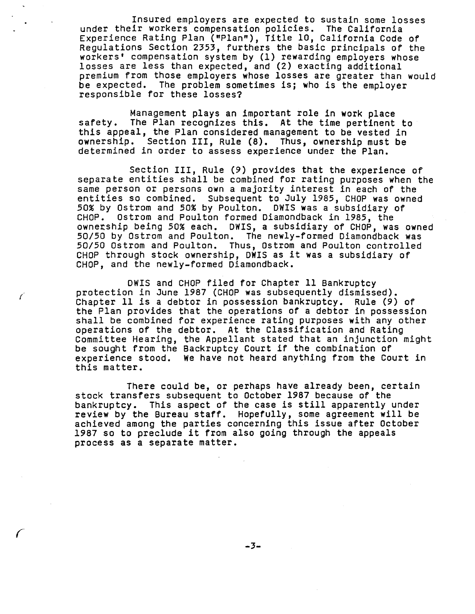Insured employers are expected to sustain some losses under their workers compensation policies. The California Experience Rating Plan ("Plan"), Title 10, California Code of Regulations Section 2353, furthers the basic principals of the workers' compensation system by (1) rewarding employers whose losses are less than expected, and (2) exacting additional premium from those employers **whose** losses are greater than would be expected. The problem sometimes is; who is the employer responsible for these losses?

Management plays an important role in **work** place safety. The Plan recognizes this. At the time pertinent to this appeal, the Plan considered management to be vested in ownership. Section III, Rule **(8).** Thus, ownership must be determined in order to assess experience under the Plan.

Section III, Rule (9) provides that the experience of separate entities shall be combined for rating purposes when the same person or persons own a majority interest in each of the entities so combined. Subsequent to July 1985, CHOP was owned 50% by Ostrom and 50% by Poulton. DWIS was a subsidiary of CHOP. Ostrom and Poulton formed Diamondback in 1985, the ownetship being 50% each. DWIS, a subsidiary of CHOP, was owned 50/50 by Ostrom and Poulton. The newly-formed Diamondback was 50/50 Ostrom and Poulton. Thus, Ostrom and Poulton controlled CHOP through stock ownership, **DWIS** as it was a subsidiary of CHOP, and the newly-formed Diamondback.

OWIS and CHOP filed for Chapter 11 Bankruptcy protection in June 1987 (CHOP was subsequently dismissed). Chapter 11 is a debtor in possession bankruptcy. Rule (9) of the Plan provides that the operations of a debtor in possession shall be combined for experience rating purposes **with** any other Committee Hearing, the Appellant stated that an injunction might<br>be sought from the Backruptcy Court if the combination of experience stood. We have not heard anything from the Court in this matter.

/ *I* 

*r* 

There could be, or perhaps have already been, certain stock transfers subsequent to October 1987 because of the bankruptcy. This aspect of the case is still apparently under review by the Bureau staff. Hopefully, some agreement will be achieved among the parties concerning this issue after October 1987 so to preclude it from also going through the appeals process as a separate matter.